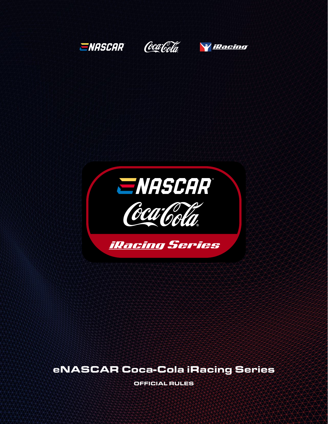

# eNASCAR Coca-Cola iRacing Series

OFFICIAL RULES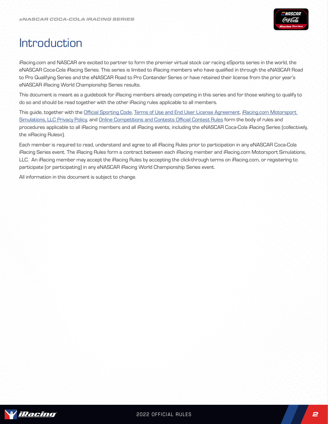

# Introduction

iRacing.com and NASCAR are excited to partner to form the premier virtual stock car racing eSports series in the world, the eNASCAR Coca-Cola iRacing Series. This series is limited to iRacing members who have qualified in through the eNASCAR Road to Pro Qualifying Series and the eNASCAR Road to Pro Contender Series or have retained their license from the prior year's eNASCAR iRacing World Championship Series results.

This document is meant as a guidebook for iRacing members already competing in this series and for those wishing to qualify to do so and should be read together with the other iRacing rules applicable to all members.

This guide, together with the Official Sporting Code, Terms of Use and End User License Agreement, iRacing.com Motorsport Simulations, LLC Privacy Policy, and Online Competitions and Contests Official Contest Rules form the body of rules and procedures applicable to all iRacing members and all iRacing events, including the eNASCAR Coca-Cola iRacing Series (collectively, the »iRacing Rules«).

Each member is required to read, understand and agree to all iRacing Rules prior to participation in any eNASCAR Coca-Cola iRacing Series event. The iRacing Rules form a contract between each iRacing member and iRacing.com Motorsport Simulations, LLC. An iRacing member may accept the iRacing Rules by accepting the click-through terms on iRacing.com, or registering to participate (or participating) in any eNASCAR iRacing World Championship Series event.

All information in this document is subject to change.

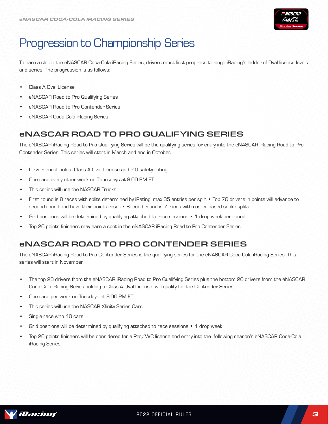

# Progression to Championship Series

To earn a slot in the eNASCAR Coca-Cola iRacing Series, drivers must first progress through iRacing's ladder of Oval license levels and series. The progression is as follows:

- Class A Oval License
- eNASCAR Road to Pro Qualifying Series
- eNASCAR Road to Pro Contender Series
- eNASCAR Coca-Cola iRacing Series

### eNASCAR ROAD TO PRO QUALIFYING SERIES

The eNASCAR iRacing Road to Pro Qualifying Series will be the qualifying series for entry into the eNASCAR iRacing Road to Pro Contender Series. This series will start in March and end in October.

- Drivers must hold a Class A Oval License and 2.0 safety rating
- One race every other week on Thursdays at 9:00 PM ET
- This series will use the NASCAR Trucks
- First round is 8 races with splits determined by iRating, max 35 entries per split Top 70 drivers in points will advance to second round and have their points reset • Second round is 7 races with roster-based snake splits
- Grid positions will be determined by qualifying attached to race sessions 1 drop week per round
- Top 20 points finishers may earn a spot in the eNASCAR iRacing Road to Pro Contender Series

## eNASCAR ROAD TO PRO CONTENDER SERIES

The eNASCAR iRacing Road to Pro Contender Series is the qualifying series for the eNASCAR Coca-Cola iRacing Series. This series will start in November.

- The top 20 drivers from the eNASCAR iRacing Road to Pro Qualifying Series plus the bottom 20 drivers from the eNASCAR Coca-Cola iRacing Series holding a Class A Oval License will qualify for the Contender Series.
- One race per week on Tuesdays at 9:00 PM ET
- This series will use the NASCAR Xfinity Series Cars
- Single race with 40 cars
- Grid positions will be determined by qualifying attached to race sessions 1 drop week
- Top 20 points finishers will be considered for a Pro/WC license and entry into the following season's eNASCAR Coca-Cola iRacing Series

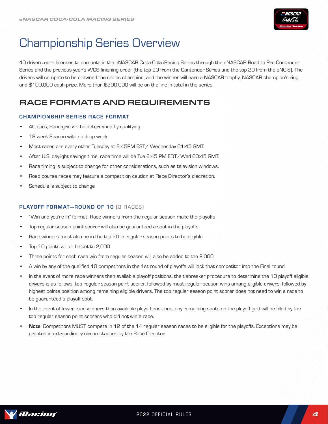

# Championship Series Overview

40 drivers earn licenses to compete in the eNASCAR Coca-Cola iRacing Series through the eNASCAR Road to Pro Contender Series and the previous year's WCS finishing order (the top 20 from the Contender Series and the top 20 from the eNCIS). The drivers will compete to be crowned the series champion, and the winner will earn a NASCAR trophy, NASCAR champion's ring, and \$100,000 cash prize. More than \$300,000 will be on the line in total in the series.

## RACE FORMATS AND REQUIREMENTS

### CHAMPIONSHIP SERIES RACE FORMAT

- 40 cars; Race grid will be determined by qualifying
- 18 week Season with no drop week
- Most races are every other Tuesday at 8:45PM EST/ Wednesday 01:45 GMT.
- After U.S. daylight savings time, race time will be Tue 8:45 PM EDT/Wed 00:45 GMT.
- Race timing is subject to change for other considerations, such as television windows.
- Road course races may feature a competition caution at Race Director's discretion.
- Schedule is subject to change

### PLAYOFF FORMAT-ROUND OF 10 [3 RACES]

- "Win and you're in" format: Race winners from the regular season make the playoffs
- Top regular season point scorer will also be guaranteed a spot in the playoffs
- Race winners must also be in the top 20 in regular season points to be eligible
- Top 10 points will all be set to 2,000
- Three points for each race win from regular season will also be added to the 2,000
- A win by any of the qualified 10 competitors in the 1st round of playoffs will lock that competitor into the Final round
- In the event of more race winners than available playoff positions, the tiebreaker procedure to determine the 10 playoff eligible drivers is as follows: top regular season point scorer, followed by most regular season wins among eligible drivers, followed by highest points position among remaining eligible drivers. The top regular season point scorer does not need to win a race to be guaranteed a playoff spot.
- In the event of fewer race winners than available playoff positions, any remaining spots on the playoff grid will be filled by the top regular season point scorers who did not win a race.
- Note: Competitors MUST compete in 12 of the 14 regular season races to be eligible for the playoffs. Exceptions may be granted in extraordinary circumstances by the Race Director.

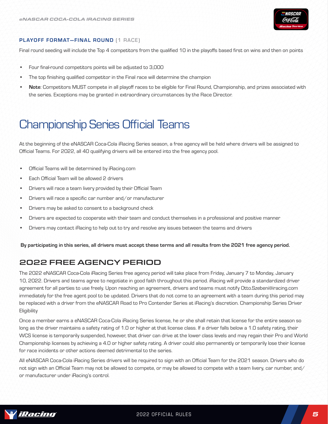

### PLAYOFF FORMAT-FINAL ROUND [1 RACE]

Final round seeding will include the Top 4 competitors from the qualified 10 in the playoffs based first on wins and then on points

- Four final-round competitors points will be adjusted to 3,000
- The top finishing qualified competitor in the Final race will determine the champion
- Note: Competitors MUST compete in all playoff races to be eligible for Final Round, Championship, and prizes associated with the series. Exceptions may be granted in extraordinary circumstances by the Race Director.

# Championship Series Official Teams

At the beginning of the eNASCAR Coca-Cola iRacing Series season, a free agency will be held where drivers will be assigned to Official Teams. For 2022, all 40 qualifying drivers will be entered into the free agency pool.

- Official Teams will be determined by iRacing.com
- Each Official Team will be allowed 2 drivers
- Drivers will race a team livery provided by their Official Team
- Drivers will race a specific car number and/or manufacturer
- Drivers may be asked to consent to a background check
- Drivers are expected to cooperate with their team and conduct themselves in a professional and positive manner
- Drivers may contact iRacing to help out to try and resolve any issues between the teams and drivers

By participating in this series, all drivers must accept these terms and all results from the 2021 free agency period.

## 2022 FREE AGENCY PERIOD

The 2022 eNASCAR Coca-Cola iRacing Series free agency period will take place from Friday, January 7 to Monday, January 10, 2022. Drivers and teams agree to negotiate in good faith throughout this period. iRacing will provide a standardized driver agreement for all parties to use freely. Upon reaching an agreement, drivers and teams must notify Otto.Szebeni@iracing.com immediately for the free agent pool to be updated. Drivers that do not come to an agreement with a team during this period may be replaced with a driver from the eNASCAR Road to Pro Contender Series at iRacing's discretion. Championship Series Driver **Eligibility** 

Once a member earns a eNASCAR Coca-Cola iRacing Series license, he or she shall retain that license for the entire season so long as the driver maintains a safety rating of 1.0 or higher at that license class. If a driver falls below a 1.0 safety rating, their WCS license is temporarily suspended, however, that driver can drive at the lower class levels and may regain their Pro and World Championship licenses by achieving a 4.0 or higher safety rating. A driver could also permanently or temporarily lose their license for race incidents or other actions deemed detrimental to the series.

All eNASCAR Coca-Cola iRacing Series drivers will be required to sign with an Official Team for the 2021 season. Drivers who do not sign with an Official Team may not be allowed to compete, or may be allowed to compete with a team livery, car number, and/ or manufacturer under iRacing's control.

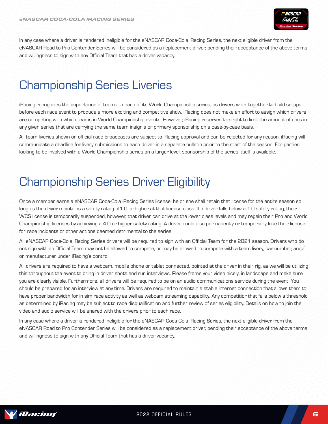

In any case where a driver is rendered ineligible for the eNASCAR Coca-Cola iRacing Series, the next eligible driver from the eNASCAR Road to Pro Contender Series will be considered as a replacement driver, pending their acceptance of the above terms and willingness to sign with any Official Team that has a driver vacancy.

# Championship Series Liveries

iRacing recognizes the importance of teams to each of its World Championship series, as drivers work together to build setups before each race event to produce a more exciting and competitive show. iRacing does not make an effort to assign which drivers are competing with which teams in World Championship events. However, iRacing reserves the right to limit the amount of cars in any given series that are carrying the same team insignia or primary sponsorship on a case-by-case basis.

All team liveries shown on official race broadcasts are subject to iRacing approval and can be rejected for any reason. iRacing will communicate a deadline for livery submissions to each driver in a separate bulletin prior to the start of the season. For parties looking to be involved with a World Championship series on a larger level, sponsorship of the series itself is available.

# Championship Series Driver Eligibility

Once a member earns a eNASCAR Coca-Cola iRacing Series license, he or she shall retain that license for the entire season so long as the driver maintains a safety rating of1.0 or higher at that license class. If a driver falls below a 1.0 safety rating, their WCS license is temporarily suspended, however, that driver can drive at the lower class levels and may regain their Pro and World Championship licenses by achieving a 4.0 or higher safety rating. A driver could also permanently or temporarily lose their license for race incidents or other actions deemed detrimental to the series.

All eNASCAR Coca-Cola iRacing Series drivers will be required to sign with an Official Team for the 2021 season. Drivers who do not sign with an Official Team may not be allowed to compete, or may be allowed to compete with a team livery, car number, and/ or manufacturer under iRacing's control.

All drivers are required to have a webcam, mobile phone or tablet connected, pointed at the driver in their rig, as we will be utilizing this throughout the event to bring in driver shots and run interviews. Please frame your video nicely, in landscape and make sure you are clearly visible. Furthermore, all drivers will be required to be on an audio communications service during the event. You should be prepared for an interview at any time. Drivers are required to maintain a stable internet connection that allows them to have proper bandwidth for in sim race activity as well as webcam streaming capability. Any competitior that falls below a threshold as determined by iRacing may be subject to race disqualification and further review of series eligibility. Details on how to join the video and audio service will be shared with the drivers prior to each race.

In any case where a driver is rendered ineligible for the eNASCAR Coca-Cola iRacing Series, the next eligible driver from the eNASCAR Road to Pro Contender Series will be considered as a replacement driver, pending their acceptance of the above terms and willingness to sign with any Official Team that has a driver vacancy.

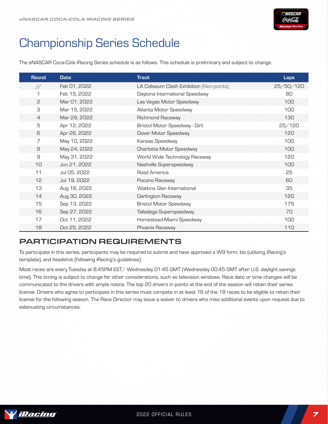

# Championship Series Schedule

The eNASCAR Coca-Cola iRacing Series schedule is as follows. This schedule is preliminary and subject to change.

| <b>Round</b>   | <b>Date</b>  | <b>Track</b>                              | <b>Laps</b> |
|----------------|--------------|-------------------------------------------|-------------|
| $\frac{1}{2}$  | Feb 01, 2022 | LA Coliseum Clash Exhibition (Non-points) | 25/50/120   |
| 1              | Feb 15, 2022 | Daytona International Speedway            | 80          |
| 5              | Mar 01, 2022 | Las Vegas Motor Speedway                  | 100         |
| З              | Mar 15, 2022 | Atlanta Motor Speedway                    | 100         |
| $\overline{4}$ | Mar 29, 2022 | Richmond Raceway                          | 130         |
| 5              | Apr 12, 2022 | Bristol Motor Speedway - Dirt             | 25/120      |
| 6              | Apr 26, 2022 | Dover Motor Speedway                      | 120         |
| 7              | May 10, 2022 | Kansas Speedway                           | 100         |
| 8              | May 24, 2022 | Charlotte Motor Speedway                  | 100         |
| $\mathsf g$    | May 31, 2022 | World Wide Technology Raceway             | 120         |
| 10             | Jun 21, 2022 | Nashville Superspeedway                   | 100         |
| 11             | Jul 05, 2022 | Road America                              | 25          |
| 12             | Jul 19, 2022 | Pocono Raceway                            | 60          |
| 13             | Aug 16, 2022 | Watkins Glen International                | 35          |
| 14             | Aug 30, 2022 | Darlington Raceway                        | 120         |
| 15             | Sep 13, 2022 | <b>Bristol Motor Speedway</b>             | 175         |
| 16             | Sep 27, 2022 | Talladega Superspeedway                   | 70          |
| 17             | Oct 11, 2022 | Homestead-Miami Speedway                  | 100         |
| 18             | Oct 25, 2022 | Phoenix Raceway                           | 110         |

## PARTICIPATION REQUIREMENTS

To participate in this series, participants may be required to submit and have approved a W9 form, bio (utilizing iRacing's template), and headshot (following iRacing's guidelines).

Most races are every Tuesday at 8:45PM EST/ Wednesday 01:45 GMT (Wednesday 00:45 GMT after U.S. daylight savings time). This timing is subject to change for other considerations, such as television windows. Race date or time changes will be communicated to the drivers with ample notice. The top 20 drivers in points at the end of the season will retain their series license. Drivers who agree to participate in this series must compete in at least 16 of the 18 races to be eligible to retain their license for the following season. The Race Director may issue a waiver to drivers who miss additional events upon request due to extenuating circumstances.

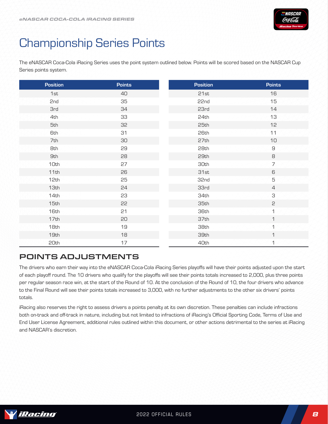

# Championship Series Points

The eNASCAR Coca-Cola iRacing Series uses the point system outlined below. Points will be scored based on the NASCAR Cup Series points system.

| <b>Position</b> | <b>Points</b> | <b>Position</b> | <b>Points</b>  |
|-----------------|---------------|-----------------|----------------|
| 1st             | 40            | 21st            | 16             |
| 2nd             | 35            | 22nd            | 15             |
| <b>3rd</b>      | 34            | 23rd            | 14             |
| 4th             | 33            | 24th            | 13             |
| 5th             | 32            | 25th            | 12             |
| <b>6th</b>      | 31            | 26th            | 11             |
| 7th             | 30            | 27th            | 10             |
| <b>8th</b>      | 29            | 28th            | $\hbox{S}$     |
| <b>9th</b>      | 28            | 29th            | 8              |
| 10th            | 27            | 30th            | $\overline{7}$ |
| 11th            | 26            | 31st            | 6              |
| 12th            | 25            | 32nd            | $\mathbf 5$    |
| 13th            | 24            | 33rd            | $\overline{4}$ |
| 14th            | 23            | 34th            | З              |
| 15th            | 55            | 35th            | 2              |
| 16th            | 21            | 36th            | $\mathbf{1}$   |
| 17th            | 20            | 37th            | $\mathbf 1$    |
| 18th            | 19            | 38th            | $\mathbf{1}$   |
| 19th            | 18            | 39th            | $\mathbf 1$    |
| 20th            | 17            | 40th            | 1              |

## POINTS ADJUSTMENTS

The drivers who earn their way into the eNASCAR Coca-Cola iRacing Series playoffs will have their points adjusted upon the start of each playoff round. The 10 drivers who qualify for the playoffs will see their points totals increased to 2,000, plus three points per regular season race win, at the start of the Round of 10. At the conclusion of the Round of 10, the four drivers who advance to the Final Round will see their points totals increased to 3,000, with no further adjustments to the other six drivers' points totals.

iRacing also reserves the right to assess drivers a points penalty at its own discretion. These penalties can include infractions both on-track and off-track in nature, including but not limited to infractions of iRacing's Official Sporting Code, Terms of Use and End User License Agreement, additional rules outlined within this document, or other actions detrimental to the series at iRacing and NASCAR's discretion.

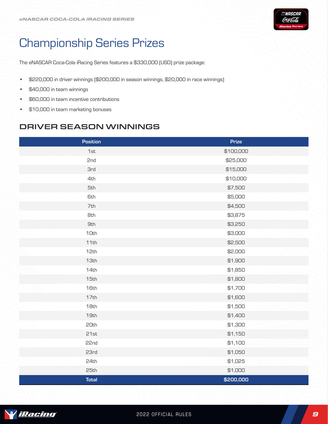

# Championship Series Prizes

The eNASCAR Coca-Cola iRacing Series features a \$330,000 (USD) prize package:

- \$220,000 in driver winnings (\$200,000 in season winnings, \$20,000 in race winnings)
- \$40,000 in team winnings
- \$60,000 in team incentive contributions
- \$10,000 in team marketing bonuses

## DRIVER SEASON WINNINGS

| <b>Position</b> | <b>Prize</b> |
|-----------------|--------------|
| 1st             | \$100,000    |
| 2nd             | \$25,000     |
| <b>3rd</b>      | \$15,000     |
| 4th             | \$10,000     |
| 5th             | \$7,500      |
| <b>6th</b>      | \$5,000      |
| 7th             | \$4,500      |
| <b>8th</b>      | \$3,875      |
| <b>9th</b>      | \$3,250      |
| 10th            | \$3,000      |
| 11th            | \$2,500      |
| 12th            | \$2,000      |
| 13th            | \$1,900      |
| 14th            | \$1,850      |
| 15th            | \$1,800      |
| 16th            | \$1,700      |
| 17th            | \$1,600      |
| 18th            | \$1,500      |
| 19th            | \$1,400      |
| 20th            | \$1,300      |
| 21st            | \$1,150      |
| 22nd            | \$1,100      |
| 23rd            | \$1,050      |
| 24th            | \$1,025      |
| 25th            | \$1,000      |
| <b>Total</b>    | \$200,000    |

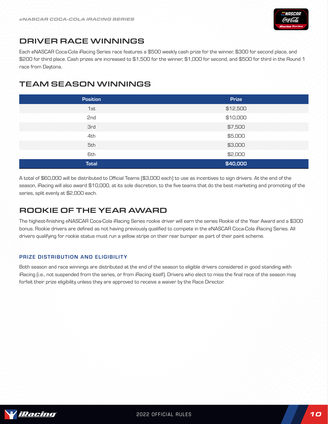

## DRIVER RACE WINNINGS

Each eNASCAR Coca-Cola iRacing Series race features a \$500 weekly cash prize for the winner, \$300 for second place, and \$200 for third place. Cash prizes are increased to \$1,500 for the winner, \$1,000 for second, and \$500 for third in the Round 1 race from Daytona.

## TEAM SEASON WINNINGS

| <b>Position</b> | <b>Prize</b> |
|-----------------|--------------|
| 1st             | \$12,500     |
| 2nd             | \$10,000     |
| <b>3rd</b>      | \$7,500      |
| 4th             | \$5,000      |
| 5th             | \$3,000      |
| <b>6th</b>      | \$2,000      |
| <b>Total</b>    | \$40,000     |

A total of \$60,000 will be distributed to Official Teams (\$3,000 each) to use as incentives to sign drivers. At the end of the season, iRacing will also award \$10,000, at its sole discretion, to the five teams that do the best marketing and promoting of the series, split evenly at \$2,000 each.

## ROOKIE OF THE YEAR AWARD

The highest-finishing eNASCAR Coca-Cola iRacing Series rookie driver will earn the series Rookie of the Year Award and a \$300 bonus. Rookie drivers are defined as not having previously qualified to compete in the eNASCAR Coca-Cola iRacing Series. All drivers qualifying for rookie status must run a yellow stripe on their rear bumper as part of their paint scheme.

### PRIZE DISTRIBUTION AND ELIGIBILITY

Both season and race winnings are distributed at the end of the season to eligible drivers considered in good standing with iRacing (i.e., not suspended from the series, or from iRacing itself). Drivers who elect to miss the final race of the season may forfeit their prize eligibility unless they are approved to receive a waiver by the Race Director.

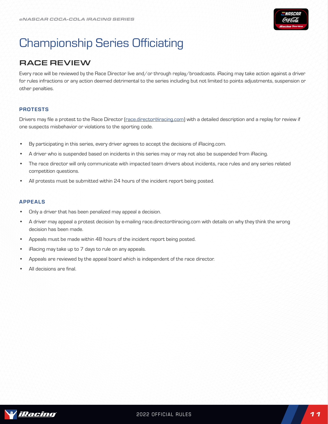

# Championship Series Officiating

## RACE REVIEW

Every race will be reviewed by the Race Director live and/or through replay/broadcasts. iRacing may take action against a driver for rules infractions or any action deemed detrimental to the series including but not limited to points adjustments, suspension or other penalties.

### PROTESTS

Drivers may file a protest to the Race Director (race.director@iracing.com) with a detailed description and a replay for review if one suspects misbehavior or violations to the sporting code.

- By participating in this series, every driver agrees to accept the decisions of iRacing.com.
- A driver who is suspended based on incidents in this series may or may not also be suspended from iRacing.
- The race director will only communicate with impacted team drivers about incidents, race rules and any series related competition questions.
- All protests must be submitted within 24 hours of the incident report being posted.

### APPEALS

- Only a driver that has been penalized may appeal a decision.
- A driver may appeal a protest decision by e-mailing race.director@iracing.com with details on why they think the wrong decision has been made.
- Appeals must be made within 48 hours of the incident report being posted.
- iRacing may take up to 7 days to rule on any appeals.
- Appeals are reviewed by the appeal board which is independent of the race director.
- All decisions are final.

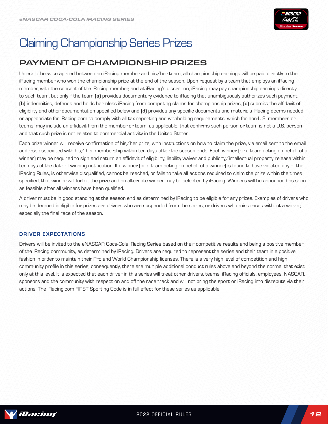

# Claiming Championship Series Prizes

## PAYMENT OF CHAMPIONSHIP PRIZES

Unless otherwise agreed between an iRacing member and his/her team, all championship earnings will be paid directly to the iRacing member who won the championship prize at the end of the season. Upon request by a team that employs an iRacing member, with the consent of the iRacing member, and at iRacing's discretion, iRacing may pay championship earnings directly to such team, but only if the team (a) provides documentary evidence to iRacing that unambiguously authorizes such payment, (b) indemnities, defends and holds harmless iRacing from competing claims for championship prizes, (c) submits the affidavit of eligibility and other documentation specified below and (d) provides any specific documents and materials iRacing deems needed or appropriate for iRacing.com to comply with all tax reporting and withholding requirements, which for non-U.S. members or teams, may include an affidavit from the member or team, as applicable, that confirms such person or team is not a U.S. person and that such prize is not related to commercial activity in the United States.

Each prize winner will receive confirmation of his/her prize, with instructions on how to claim the prize, via email sent to the email address associated with his/ her membership within ten days after the season ends. Each winner (or a team acting on behalf of a winner) may be required to sign and return an affidavit of eligibility, liability waiver and publicity/intellectual property release within ten days of the date of winning notification. If a winner (or a team acting on behalf of a winner) is found to have violated any of the iRacing Rules, is otherwise disqualified, cannot be reached, or fails to take all actions required to claim the prize within the times specified, that winner will forfeit the prize and an alternate winner may be selected by iRacing. Winners will be announced as soon as feasible after all winners have been qualified.

A driver must be in good standing at the season end as determined by iRacing to be eligible for any prizes. Examples of drivers who may be deemed ineligible for prizes are drivers who are suspended from the series, or drivers who miss races without a waiver, especially the final race of the season.

### DRIVER EXPECTATIONS

Drivers will be invited to the eNASCAR Coca-Cola iRacing Series based on their competitive results and being a positive member of the iRacing community, as determined by iRacing. Drivers are required to represent the series and their team in a positive fashion in order to maintain their Pro and World Championship licenses. There is a very high level of competition and high community profile in this series; consequently, there are multiple additional conduct rules above and beyond the normal that exist only at this level. It is expected that each driver in this series will treat other drivers, teams, iRacing officials, employees, NASCAR, sponsors and the community with respect on and off the race track and will not bring the sport or iRacing into disrepute via their actions. The iRacing.com FIRST Sporting Code is in full effect for these series as applicable.

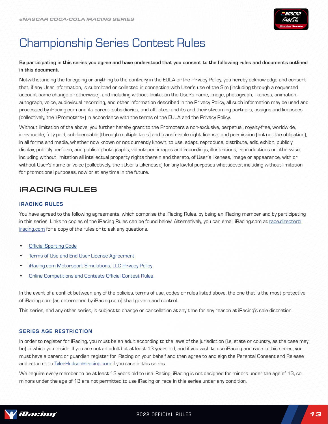

# Championship Series Contest Rules

### By participating in this series you agree and have understood that you consent to the following rules and documents outlined in this document.

Notwithstanding the foregoing or anything to the contrary in the EULA or the Privacy Policy, you hereby acknowledge and consent that, if any User information, is submitted or collected in connection with User's use of the Sim (including through a requested account name change or otherwise), and including without limitation the User's name, image, photograph, likeness, animation, autograph, voice, audiovisual recording, and other information described in the Privacy Policy, all such information may be used and processed by iRacing.com and its parent, subsidiaries, and affiliates, and its and their streaming partners, assigns and licensees (collectively, the »Promoters«) in accordance with the terms of the EULA and the Privacy Policy.

Without limitation of the above, you further hereby grant to the Promoters a non-exclusive, perpetual, royalty-free, worldwide, irrevocable, fully paid, sub-licensable (through multiple tiers) and transferable right, license, and permission (but not the obligation), in all forms and media, whether now known or not currently known, to use, adapt, reproduce, distribute, edit, exhibit, publicly display, publicly perform, and publish photographs, videotaped images and recordings, illustrations, reproductions or otherwise, including without limitation all intellectual property rights therein and thereto, of User's likeness, image or appearance, with or without User's name or voice (collectively, the »User's Likeness«) for any lawful purposes whatsoever, including without limitation for promotional purposes, now or at any time in the future.

### iRACING RULES

### iRACING RULES

You have agreed to the following agreements, which comprise the iRacing Rules, by being an iRacing member and by participating in this series. Links to copies of the iRacing Rules can be found below. Alternatively, you can email iRacing.com at race.director@ iracing.com for a copy of the rules or to ask any questions.

- [Official Sporting Code](https://www.iracing.com/iracing-official-sporting-code/)
- Terms of Use and End User License Agreement
- iRacing.com Motorsport Simulations, LLC Privacy Policy
- Online Competitions and Contests Official Contest Rules

In the event of a conflict between any of the policies, terms of use, codes or rules listed above, the one that is the most protective of iRacing.com (as determined by iRacing.com) shall govern and control.

This series, and any other series, is subject to change or cancellation at any time for any reason at iRacing's sole discretion.

### SERIES AGE RESTRICTION

In order to register for iRacing, you must be an adult according to the laws of the jurisdiction (i.e. state or country, as the case may be) in which you reside. If you are not an adult but at least 13 years old, and if you wish to use iRacing and race in this series, you must have a parent or guardian register for iRacing on your behalf and then agree to and sign the Parental Consent and Release and return it to [Tyler.Hudson@iracing.com](mailto:support%40iRacing.com?subject=Paint%20Scheme%20Policy%20Inquiry%20-%20) if you race in this series.

We require every member to be at least 13 years old to use iRacing. iRacing is not designed for minors under the age of 13, so minors under the age of 13 are not permitted to use iRacing or race in this series under any condition.